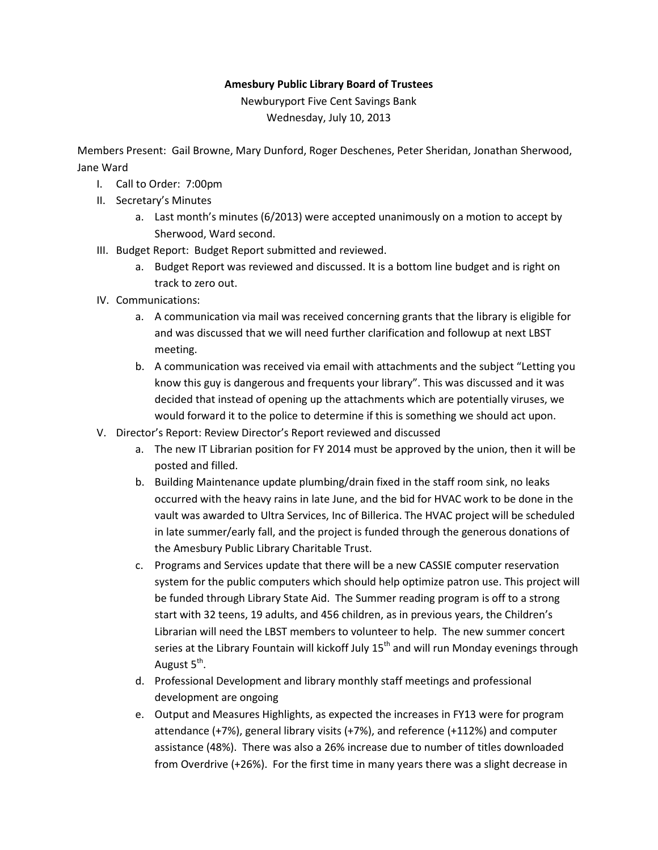## Amesbury Public Library Board of Trustees

Newburyport Five Cent Savings Bank Wednesday, July 10, 2013

Members Present: Gail Browne, Mary Dunford, Roger Deschenes, Peter Sheridan, Jonathan Sherwood, Jane Ward

- I. Call to Order: 7:00pm
- II. Secretary's Minutes
	- a. Last month's minutes (6/2013) were accepted unanimously on a motion to accept by Sherwood, Ward second.
- III. Budget Report: Budget Report submitted and reviewed.
	- a. Budget Report was reviewed and discussed. It is a bottom line budget and is right on track to zero out.
- IV. Communications:
	- a. A communication via mail was received concerning grants that the library is eligible for and was discussed that we will need further clarification and followup at next LBST meeting.
	- b. A communication was received via email with attachments and the subject "Letting you know this guy is dangerous and frequents your library". This was discussed and it was decided that instead of opening up the attachments which are potentially viruses, we would forward it to the police to determine if this is something we should act upon.
- V. Director's Report: Review Director's Report reviewed and discussed
	- a. The new IT Librarian position for FY 2014 must be approved by the union, then it will be posted and filled.
	- b. Building Maintenance update plumbing/drain fixed in the staff room sink, no leaks occurred with the heavy rains in late June, and the bid for HVAC work to be done in the vault was awarded to Ultra Services, Inc of Billerica. The HVAC project will be scheduled in late summer/early fall, and the project is funded through the generous donations of the Amesbury Public Library Charitable Trust.
	- c. Programs and Services update that there will be a new CASSIE computer reservation system for the public computers which should help optimize patron use. This project will be funded through Library State Aid. The Summer reading program is off to a strong start with 32 teens, 19 adults, and 456 children, as in previous years, the Children's Librarian will need the LBST members to volunteer to help. The new summer concert series at the Library Fountain will kickoff July  $15<sup>th</sup>$  and will run Monday evenings through August 5<sup>th</sup>.
	- d. Professional Development and library monthly staff meetings and professional development are ongoing
	- e. Output and Measures Highlights, as expected the increases in FY13 were for program attendance (+7%), general library visits (+7%), and reference (+112%) and computer assistance (48%). There was also a 26% increase due to number of titles downloaded from Overdrive (+26%). For the first time in many years there was a slight decrease in